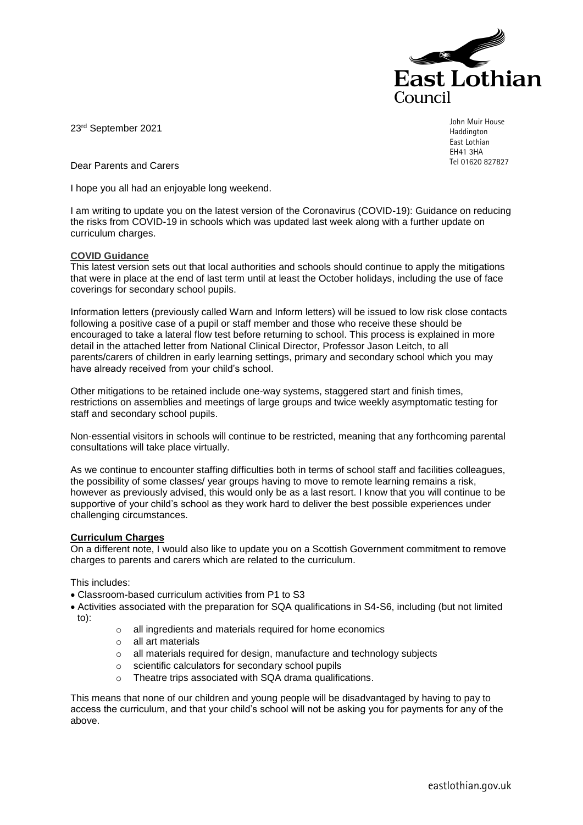

23rd September 2021

John Muir House **Haddington** East Lothian EH41 3HA Tel 01620 827827

Dear Parents and Carers

I hope you all had an enjoyable long weekend.

I am writing to update you on the latest version of the Coronavirus (COVID-19): Guidance on reducing the risks from COVID-19 in schools which was updated last week along with a further update on curriculum charges.

## **COVID Guidance**

This latest version sets out that local authorities and schools should continue to apply the mitigations that were in place at the end of last term until at least the October holidays, including the use of face coverings for secondary school pupils.

Information letters (previously called Warn and Inform letters) will be issued to low risk close contacts following a positive case of a pupil or staff member and those who receive these should be encouraged to take a lateral flow test before returning to school. This process is explained in more detail in the attached letter from National Clinical Director, Professor Jason Leitch, to all parents/carers of children in early learning settings, primary and secondary school which you may have already received from your child's school.

Other mitigations to be retained include one-way systems, staggered start and finish times, restrictions on assemblies and meetings of large groups and twice weekly asymptomatic testing for staff and secondary school pupils.

Non-essential visitors in schools will continue to be restricted, meaning that any forthcoming parental consultations will take place virtually.

As we continue to encounter staffing difficulties both in terms of school staff and facilities colleagues, the possibility of some classes/ year groups having to move to remote learning remains a risk, however as previously advised, this would only be as a last resort. I know that you will continue to be supportive of your child's school as they work hard to deliver the best possible experiences under challenging circumstances.

## **Curriculum Charges**

On a different note, I would also like to update you on a Scottish Government commitment to remove charges to parents and carers which are related to the curriculum.

This includes:

- Classroom-based curriculum activities from P1 to S3
- Activities associated with the preparation for SQA qualifications in S4-S6, including (but not limited to):
	- o all ingredients and materials required for home economics
	- o all art materials
	- o all materials required for design, manufacture and technology subjects
	- o scientific calculators for secondary school pupils
	- o Theatre trips associated with SQA drama qualifications.

This means that none of our children and young people will be disadvantaged by having to pay to access the curriculum, and that your child's school will not be asking you for payments for any of the above.